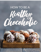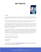

#### Hi there!

My name is Stephanie please call me Steph, I am the founder of beFITbeFAB and certified lead coach in health, wellness, fitness and running by ACE, FIA, SCW & IDEA.

Let me tell you I am so glad you are here today and thank you so much for picking up a copy of The Healthy Chocoholic, I hope you will enjoy & learn from it.

I created beFITbeFAB with the sole intention of guiding you to living a healthier life. My method is based on a holistic approach to well being. I incorporate mind, body, nutrition to all my programs. I want you to know that there are no boundaries to releasing your inner wellbeing. Let me help me guide you on your journey to your FIT FAB self.

It's my passion to teach, as a chocolate lover and a long distance runner always looking for new ways to fuel my training, I decided to share my knowledge into this guide. I help female runners achieve their optimal health, fitness & performance while enjoying their runs and without the all time dreaded weight gain & loss that come during marathon training & post races / off season.

So, ready to dive in? I know I am!

Laugh everyday, sweat everyday! If you Believe it you BEcome FIT.

Coach Steph B beFITbeFAB

Ps: don't forget to email me [steph@befitbefab.com](mailto:steph@befitbefab.com) to schedule your discovery call so we can chat about your goals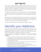All of us have one food addiction or another. Chocolate happens to be one of the most loved, adored and craved food item. But as much as we love it we are usually worried about the weight that we might be putting on due our chocolate addiction. Since this is a difficulty faced by most of us, we are here to help you satisfy your love for chocolate in a healthy way.

You might hear bad things from the people around you for being addicted to chocolate. They may tell you to drop this "bad habit" if you want to get healthy and do not want to get "chocolate-wasted" Yes, it has apparently become a term.

We will tell you how beneficial chocolate can be if you learn to manage your intake. We will discuss in depth the benefits chocolate offers. We will also provide you with five of our favorite healthy chocolate recipes to help you satisfy your chocolate craving so you can remain happy and healthy.

You want to follow the steps so you can become a healthy chocoholic.

## Identify your Addiction

As you know, eating chocolate helps release endorphins which create a mood high and research shows that the body develops a physical dependency for experiencing this feeling. The desire to consume chocolate again and again under any circumstances is definitely an addiction to chocolate.

#### **To know whether you are addicted to chocolate or not check the following symptoms:**

- Your mouth waters in the presence of chocolate if there is still some of it in the refrigerator and the mere thought of it alone makes you salivate.
- You feel a need to eat chocolate at particular times of the day for instance, after eating lunch or dinner.
- You feel frustrated when you are denied chocolate for some time and instantly feel happy if you finally have some.
- You keep promising yourself to quit but it is too irresistible for you.
- You go out of your way to fulfill your need for having it and do not feel normal or sane until you eat a good quantity of it.

 $\overline{3}$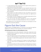- You get headaches after consuming it but you ignore all the symptoms of over-dosing and still continue eating it.
- Feeling low and lacking the energy to do any important tasks due to the extra intake of sugar in the form of chocolate which may cause a sugar crash. Knowing this and still continuing with having chocolate is definitely a sian of addiction.
- If you lie about your habit of eating too many chocolates or go as far as hiding it from your loved ones to cover up the shame, you might have to face that you are addicted.
- The change in your skin complexion due to unhealthy eating habits and too much sugar may also be considered a symptom.
- If you do not even care about spending too much on the imported European Chocolate you probably already know that you're addicted.

After realizing that you are addicted to chocolate you should figure out what it is that has caused this addiction.

## Figure Out the Cause

There are plenty of possibilities going on in the back of your head that might be triggering your need for having chocolate and causing this addiction.

#### **The following steps will help you with identifying the cause:**

- Emotional issues such as stress, depression, anxiousness, anger about some unresolved issues, sadness etc. may force you to grab a bar of chocolate to help you feel better.
- If you are hungry and do not have anything to eat and since chocolate is handy, you start chomping on it without giving it any second thoughts. Or if you are on a diet and feel deprived you may find comfort in a bar of chocolate.
- Chocolate is so mouth-watering and its images are totally irresistible that when you come across an advertisement etc. you are simply unable to hold back.
- You have chocolates just to kill your boredom and feel happy by turning on the endorphins. You may even chomp on the bar mindlessly while watching TV.

 2018 beFITbeFAB LLC These statements have not been evaluated by the Food and Drug Administration. This is not intended to diagnose, treat, cure, or prevent any disease.

4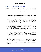## Solve the Root-cause

By identifying your addiction and the cause behind it, you can go to the next phase of overcoming your unhealthy habits to eliminate them. Unless medically recommended you do not need to completely boycott chocolate, you just have to limit it.

#### **Some steps to help you control your cravings are as follows:**

- Decide that you want to make a change and then stick to your decision of staying away and/or avoiding the craving to every extent.
- You can find healthy alternatives for the fulfillment of your craving such as chocolate smoothies, vegan hot chocolate, chocolate avocado pudding etc. Healthy chocolate options will help with your desire and wouldn't cause any problems. We will provide you with some recipes of healthy chocolate options later in this guide.
- Start by practicing portion control, limit the amount of the chocolate you eat and also replace your usual chocolate with dark chocolate.
- Avoid going through the chocolate sections in the supermarket to avoid bringing chocolate home.
- You can use aromatherapy to boost your senses, so choose your favorite scents to help you keep your mind off chocolate.
- Find a pastime that will help overcome your procrastination and doesn't make you feel frustrated. Try meditation, yoga or go for a walk. These healthy habits will help you to control your urge for chocolate.
- Do not stock up on the chocolates you love. Even if you buy chocolate, go for dark chocolate.
- Try new restaurants to experience flavors from different cultures to find new favorites and reduce your cravings.
- Schedule an appointment with your dentist to know how much harm the chocolate has caused to your teeth and take it as an inspiration to quit.

In short, these steps will help you to eliminate the root-cause of your addiction to chocolate.

2018 beFITbeFAB LLC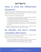## Keep in mind the Withdrawal Symptoms

You will experience some withdrawal symptoms while trying to give up on the unhealthy chocolate so try to replace it with one of our recipes to feel less tempted and avoid depriving yourself completely.

Some of the symptoms you might experience are:

- You might feel some symptoms relating to caffeine withdrawal, especially if you have been eating coffee flavored chocolates.
- You might feel low levels of energy as a result of sugar withdrawal which could even lead to depression or heavy mood swings.
- You will feel frustrated and irritable without a good reason because you would be denying yourself of your favorite foo. Try to stay committed and don't give in.

Keeping in mind these points will make it easy for you to prepare for various symptoms of withdrawal and stay motivated on quitting.

## Be Mindful and don't choose unhealthy Alternative

Do not substitute the chocolate with some other form of unhealthy food and repeat the vicious cycle of harming your health.

Keep the following tips in mind while curbing your cravings.

- When the craving strikes, be prepared with one of the recipes that we are going to provide you so you can become a healthy chocoholic.
- You can also eat dark chocolate for fighting off your cravings.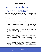# Dark Chocolate; a healthy substitute

Wait a second and savor the moment as we are going to tell you that you do not need to give up your love for chocolate. We are talking about eating the right kind of chocolate which contains at least 70 percent cacao and is referred to as high-quality dark chocolate.

Dark chocolate is [filled with healthy benefits such as flavonoids](http://georgetown.spoonuniversity.com/live/type-chocolate-healthiest/), which maintains cardiovascular health and lowers the risk of cancer. Dark chocolate also contains antioxidants which are essential for a strong immune system.

#### **The various benefits that it offers are listed below.**

- **Reduce your risk of stroke:** Research suggests that dark chocolate helps circulation of the blood from and to the heart due to the presence of the compound flavonoid. It does so by keeping the blood vessels flexible instead of becoming stiffer over time. It also doesn't let the blood cells to stick to the inner walls of the vessels, which would otherwise build up and cause blockage of the vessels.
- **Diabetes Prevention:** Dark chocolate helps to prevent diabetes as well. Research has shown that one of the major causes of diabetes in your body is inflammation which increases our resistance to insulin as time passes. Dark chocolate helps your body to prevent diabetes by reducing resistance against the body's natural insulin.
- **Improve the Functionality of Brain:** Studies suggest that students who eat dark chocolate before an exam perform better compared to the other students. The compounds found in dark increase the flow of blood to the brain which enhances memory, attention span, problem solving skills and reaction time. It also boosts the production of the chemical endorphin which is known to make you feel happy and boost your mind.
- **Cancer Prevention:** Research has also shown that the compound flavonoid found in dark chocolate or cocoa helps to prevent cell damage and even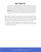has the ability to repair damaged cells and inhibits the growth of tumors. A research was conducted at Georgetown University to treat cancerous cells with the help of the Pentamer compound found in cocoa. It actually helps the cells stop dividing by suppressing the proteins they needed to divide.

• **Weight Loss:** If you eat dark chocolate before having lunch or dinner, you would definitely eat far less. The chemicals in the chocolate trigger the hormones in your body that make you feel full and you eat less as a result.

Other kinds of chocolates contain added chemicals and more sugars which are highly. White chocolate is technically not even considered chocolate however sad it may sound, as it doesn't contain cocoa. Try to avoid white chocolate because its basic ingredients are sugar, cocoa butter, soy, milk, lecithin and added flavors which result in it being loaded with sugar and saturated fat.

Choosing dark chocolate is helpful as it has much less sugar and is rich in cocoa. You can get the maximum benefit of dark chocolate by using our favorite recipes to maintain a healthy lifestyle.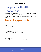# Recipes for Healthy Chocoholics

Here are some of the best recipes for all chocoholics out there. You'll be able to quit unhealthy habits and maintain a healthy lifestyle.

These recipes will help you to fight your craving and while helping you feel content.

### Chocolate Cherry Superfood Balls

Makes about 12 medium-sized cookies 1 cup pumpkin seeds ½ cup brazil nuts 8 dates ¼ cup dried cherries ¼ cup dried coconut 2 tablespoons cacao powder 1 tablespoon coconut oil 1 tablespoon raw honey (optional) hemp or sesame seeds (optional, to roll balls in)

### *How to make it:*

Combine all ingredients in a food processor and blend. You want everything to be combined, yet not fully blended. Some chunks are nice! Form into small balls and either keep as is, or roll in hemp or sesame seeds.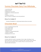### Yummy Chocolate Dairy Free Milkshake

1 cup almond milk 2 frozen bananas 2 tablespoons raw cacao 2 tablespoons sunflower seed butter 4 dates ¼ teaspoon cinnamon dash of cayenne or ginger for some zing (optional)

### *How to make it:*

Combine all ingredients in a high-speed blender. Blend and enjoy!

### Chocolate Bowl

- 2 cups unsweetened almond milk
- 2 cups cooked millet
- 2 cups filtered water
- 1 teaspoon stevia
- 1 tablespoon sunflower seed butter
- 1 banana, chopped
- 2 tablespoons raw cacao

### *How to make it:*

Combine millet with water in a saucepan. Heat on high until boiling. Cover, reduce heat to low, and simmer for 15 minutes. After 15 minutes, add in almond milk, raw cacao and stevia, stir to combine. Place in a bowl and top with almond butter and banana.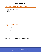### Chocolate and Kale Smoothie

1 cup coconut, hemp, or almond milk 1 frozen banana 1 cup of kale 3 tablespoons of cacao nibs 1 tablespoon of raw cacao 5 to 6 ice cubes

### *How to make it:*

Blend in a high-powered blender.

### Vegan Hot Cocoa

1 cup of coconut or almond milk 1 tablespoon of raw cacao powder Stevia or honey to taste

### *How to make it:*

Heat the coconut or almond milk over medium flame. Add 1 tablespoon of cacao powder and sweeten with stevia or honey if you desire.

These recipes will help you be a healthy chocoholic.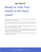# Ready to Take Your health to the Next Level?

Think about how amazing your skin and body could feel with even more nourishing food and healthy habits.

If you're ready to feel better than you have in years, it's time to try my proven system. It's worked for me and countless clients, and I know it will work for you, too.

Are you ready to dive deeper into a clean eating program that will take your health, life, and energy to the next level?

You'll receive an in-depth guide, mouthwatering, allergy-friendly, easy-to-make recipes, and a step-by-step plan of action with suggested whole foods meals that will help you cleanse your body naturally.

Most importantly, you'll get access to me to address any questions, concerns or struggles coming up for you.